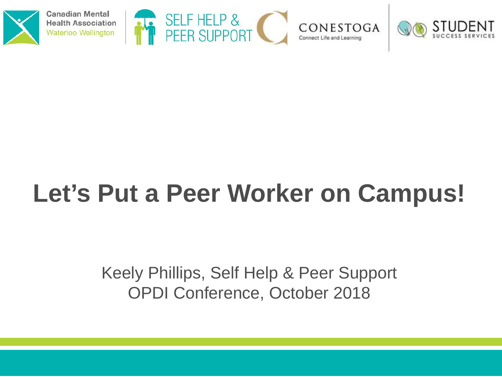

**Canadian Mental Health Association Waterloo Wellington** 







### **Let's Put a Peer Worker on Campus!**

Keely Phillips, Self Help & Peer Support OPDI Conference, October 2018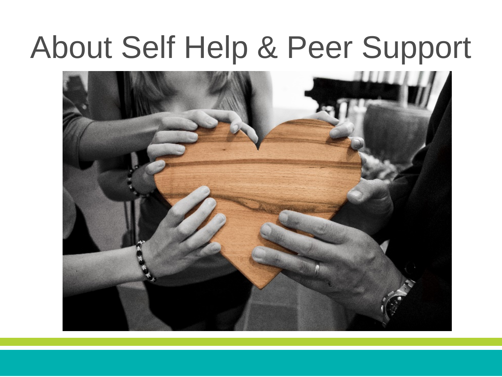### About Self Help & Peer Support

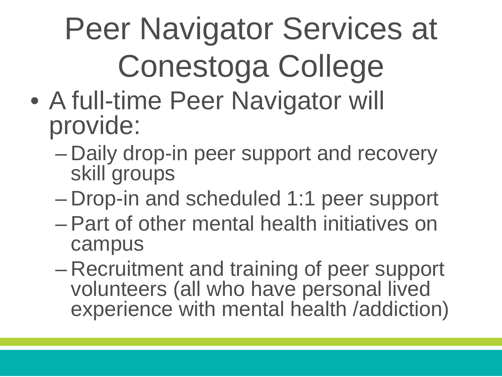## Peer Navigator Services at Conestoga College

- A full-time Peer Navigator will provide:
	- Daily drop-in peer support and recovery skill groups
	- Drop-in and scheduled 1:1 peer support
	- Part of other mental health initiatives on campus
	- Recruitment and training of peer support volunteers (all who have personal lived experience with mental health /addiction)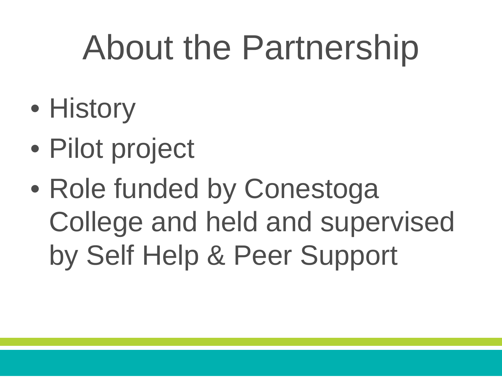## About the Partnership

- History
- Pilot project
- Role funded by Conestoga College and held and supervised by Self Help & Peer Support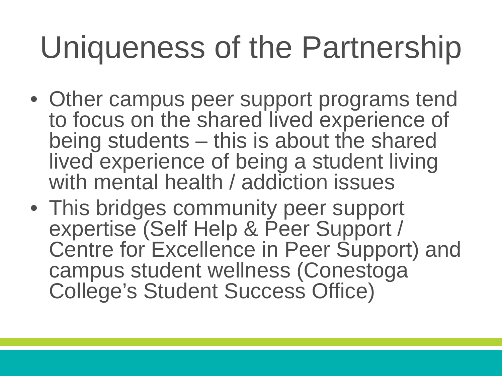## Uniqueness of the Partnership

- Other campus peer support programs tend to focus on the shared lived experience of being students – this is about the shared lived experience of being a student living with mental health / addiction issues
- This bridges community peer support expertise (Self Help & Peer Support / Centre for Excellence in Peer Support) and campus student wellness (Conestoga College's Student Success Office)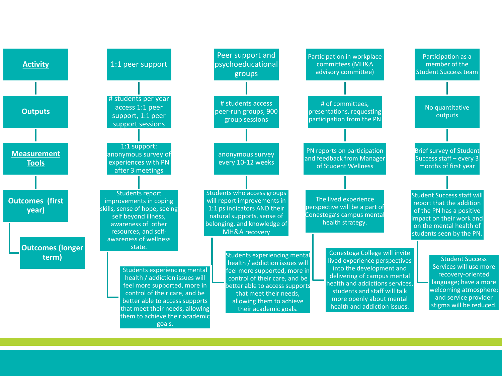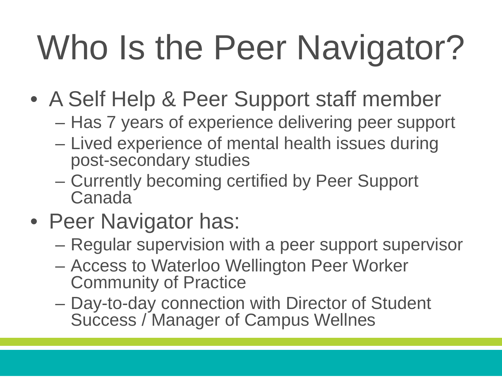# Who Is the Peer Navigator?

- A Self Help & Peer Support staff member
	- Has 7 years of experience delivering peer support
	- Lived experience of mental health issues during post-secondary studies
	- Currently becoming certified by Peer Support Canada
- Peer Navigator has:
	- Regular supervision with a peer support supervisor
	- Access to Waterloo Wellington Peer Worker Community of Practice
	- Day-to-day connection with Director of Student Success / Manager of Campus Wellnes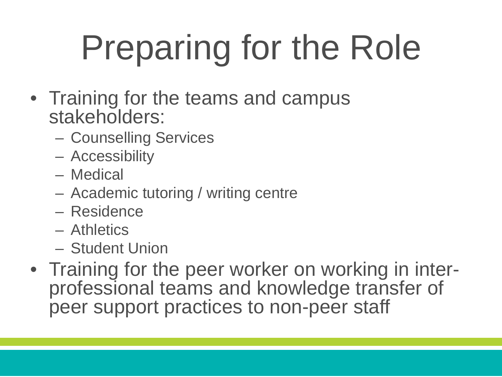# Preparing for the Role

- Training for the teams and campus stakeholders:
	- Counselling Services
	- Accessibility
	- Medical
	- Academic tutoring / writing centre
	- Residence
	- Athletics
	- Student Union
- Training for the peer worker on working in inter-<br>professional teams and knowledge transfer of peer support practices to non-peer staff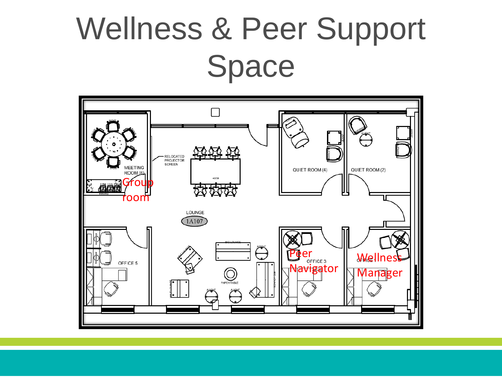### Wellness & Peer Support Space

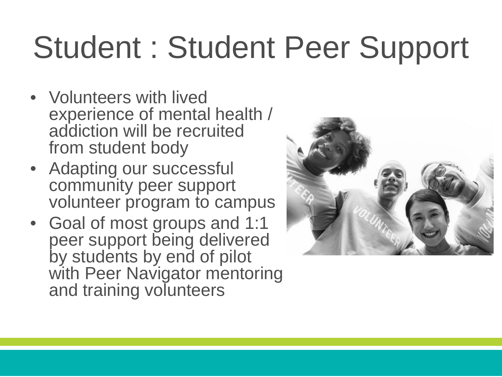## Student : Student Peer Support

- Volunteers with lived experience of mental health / addiction will be recruited from student body
- Adapting our successful community peer support volunteer program to campus
- Goal of most groups and 1:1 peer support being delivered by students by end of pilot with Peer Navigator mentoring and training volunteers

![](_page_9_Picture_4.jpeg)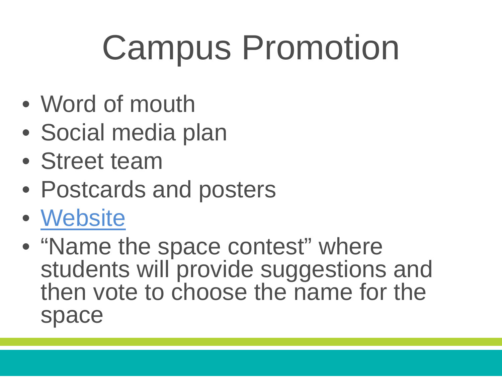## Campus Promotion

- Word of mouth
- Social media plan
- Street team
- Postcards and posters
- [Website](https://studentsuccess.conestogac.on.ca/myWellness/PeerSupportAndSelfHelp)
- "Name the space contest" where students will provide suggestions and then vote to choose the name for the space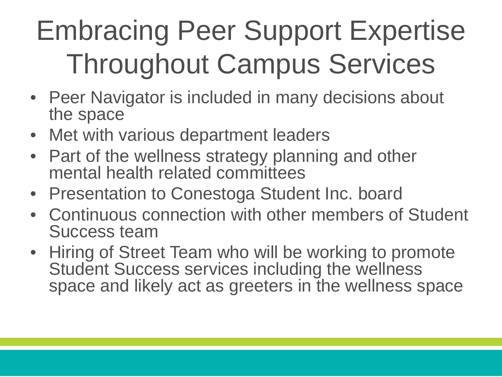### Embracing Peer Support Expertise Throughout Campus Services

- Peer Navigator is included in many decisions about the space
- Met with various department leaders
- Part of the wellness strategy planning and other mental health related committees
- Presentation to Conestoga Student Inc. board
- Continuous connection with other members of Student Success team
- Hiring of Street Team who will be working to promote Student Success services including the wellness space and likely act as greeters in the wellness space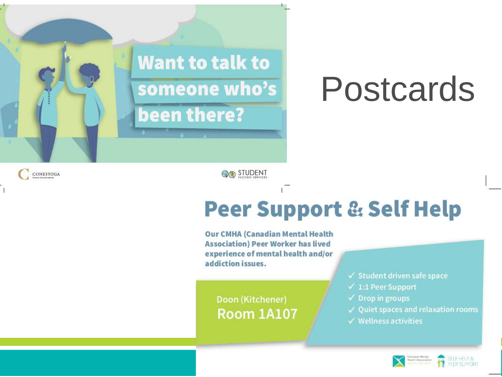![](_page_12_Picture_0.jpeg)

## Postcards

CONESTOGA

**OO** STUDENT

#### **Peer Support & Self Help**

**Our CMHA (Canadian Mental Health Association) Peer Worker has lived** experience of mental health and/or addiction issues.

Doon (Kitchener) **Room 1A107**   $\checkmark$  Student driven safe space

- $\checkmark$  1:1 Peer Support
- $\checkmark$  Drop in groups
- $\checkmark$  Quiet spaces and relaxation rooms
- $\checkmark$  Wellness activities

![](_page_12_Picture_12.jpeg)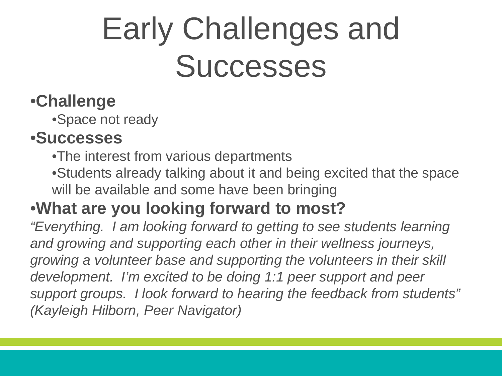## Early Challenges and **Successes**

#### •**Challenge**

•Space not ready

#### •**Successes**

•The interest from various departments

•Students already talking about it and being excited that the space will be available and some have been bringing

#### •**What are you looking forward to most?**

*"Everything. I am looking forward to getting to see students learning and growing and supporting each other in their wellness journeys, growing a volunteer base and supporting the volunteers in their skill development. I'm excited to be doing 1:1 peer support and peer support groups. I look forward to hearing the feedback from students" (Kayleigh Hilborn, Peer Navigator)*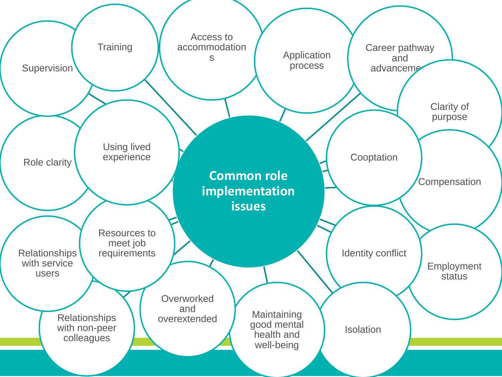![](_page_14_Figure_0.jpeg)